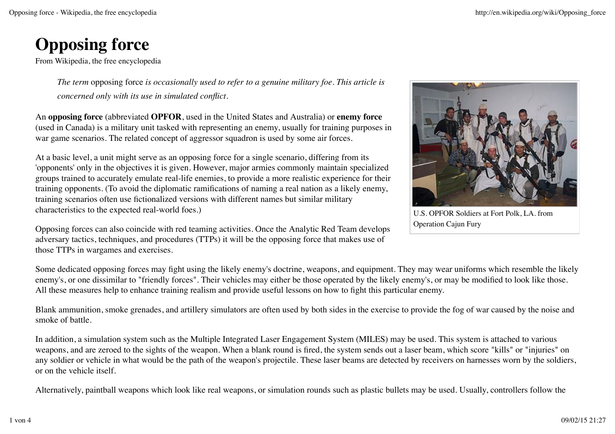# **Opposing force**

From Wikipedia, the free encyclopedia

*The term* opposing force *is occasionally used to refer to a genuine military foe. This article is concerned only with its use in simulated conflict.*

An **opposing force** (abbreviated **OPFOR**, used in the United States and Australia) or **enemy force** (used in Canada) is a military unit tasked with representing an enemy, usually for training purposes in war game scenarios. The related concept of aggressor squadron is used by some air forces.

At a basic level, a unit might serve as an opposing force for a single scenario, differing from its 'opponents' only in the objectives it is given. However, major armies commonly maintain specialized groups trained to accurately emulate real-life enemies, to provide a more realistic experience for their training opponents. (To avoid the diplomatic ramifications of naming a real nation as a likely enemy, training scenarios often use fictionalized versions with different names but similar military characteristics to the expected real-world foes.)

Opposing forces can also coincide with red teaming activities. Once the Analytic Red Team develops adversary tactics, techniques, and procedures (TTPs) it will be the opposing force that makes use of those TTPs in wargames and exercises.

U.S. OPFOR Soldiers at Fort Polk, LA. from Operation Cajun Fury

Some dedicated opposing forces may fight using the likely enemy's doctrine, weapons, and equipment. They may wear uniforms which resemble the likely enemy's, or one dissimilar to "friendly forces". Their vehicles may either be those operated by the likely enemy's, or may be modified to look like those. All these measures help to enhance training realism and provide useful lessons on how to fight this particular enemy.

Blank ammunition, smoke grenades, and artillery simulators are often used by both sides in the exercise to provide the fog of war caused by the noise and smoke of battle.

In addition, a simulation system such as the Multiple Integrated Laser Engagement System (MILES) may be used. This system is attached to various weapons, and are zeroed to the sights of the weapon. When a blank round is fired, the system sends out a laser beam, which score "kills" or "injuries" on any soldier or vehicle in what would be the path of the weapon's projectile. These laser beams are detected by receivers on harnesses worn by the soldiers, or on the vehicle itself.

Alternatively, paintball weapons which look like real weapons, or simulation rounds such as plastic bullets may be used. Usually, controllers follow the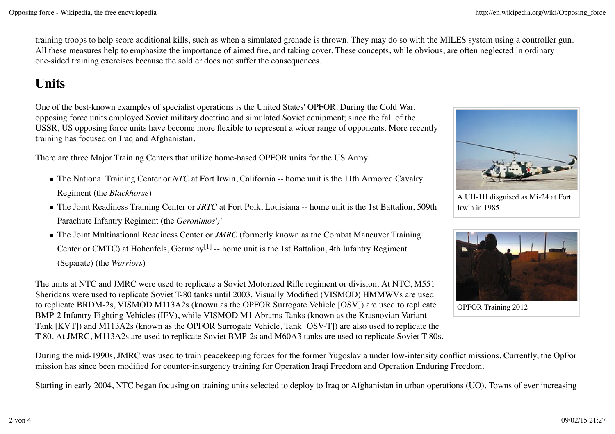training troops to help score additional kills, such as when a simulated grenade is thrown. They may do so with the MILES system using a controller gun. All these measures help to emphasize the importance of aimed fire, and taking cover. These concepts, while obvious, are often neglected in ordinary one-sided training exercises because the soldier does not suffer the consequences.

## **Units**

One of the best-known examples of specialist operations is the United States' OPFOR. During the Cold War, opposing force units employed Soviet military doctrine and simulated Soviet equipment; since the fall of the USSR, US opposing force units have become more flexible to represent a wider range of opponents. More recently training has focused on Iraq and Afghanistan.

There are three Major Training Centers that utilize home-based OPFOR units for the US Army:

- The National Training Center or *NTC* at Fort Irwin, California -- home unit is the 11th Armored Cavalry Regiment (the *Blackhorse*)
- The Joint Readiness Training Center or *JRTC* at Fort Polk, Louisiana -- home unit is the 1st Battalion, 509th Parachute Infantry Regiment (the *Geronimos')'*
- The Joint Multinational Readiness Center or *JMRC* (formerly known as the Combat Maneuver Training Center or CMTC) at Hohenfels, Germany<sup>[1]</sup> -- home unit is the 1st Battalion, 4th Infantry Regiment (Separate) (the *Warriors*)

The units at NTC and JMRC were used to replicate a Soviet Motorized Rifle regiment or division. At NTC, M551 Sheridans were used to replicate Soviet T-80 tanks until 2003. Visually Modified (VISMOD) HMMWVs are used to replicate BRDM-2s, VISMOD M113A2s (known as the OPFOR Surrogate Vehicle [OSV]) are used to replicate BMP-2 Infantry Fighting Vehicles (IFV), while VISMOD M1 Abrams Tanks (known as the Krasnovian Variant Tank [KVT]) and M113A2s (known as the OPFOR Surrogate Vehicle, Tank [OSV-T]) are also used to replicate the T-80. At JMRC, M113A2s are used to replicate Soviet BMP-2s and M60A3 tanks are used to replicate Soviet T-80s.



A UH-1H disguised as Mi-24 at Fort Irwin in 1985



OPFOR Training 2012

During the mid-1990s, JMRC was used to train peacekeeping forces for the former Yugoslavia under low-intensity conflict missions. Currently, the OpFor mission has since been modified for counter-insurgency training for Operation Iraqi Freedom and Operation Enduring Freedom.

Starting in early 2004, NTC began focusing on training units selected to deploy to Iraq or Afghanistan in urban operations (UO). Towns of ever increasing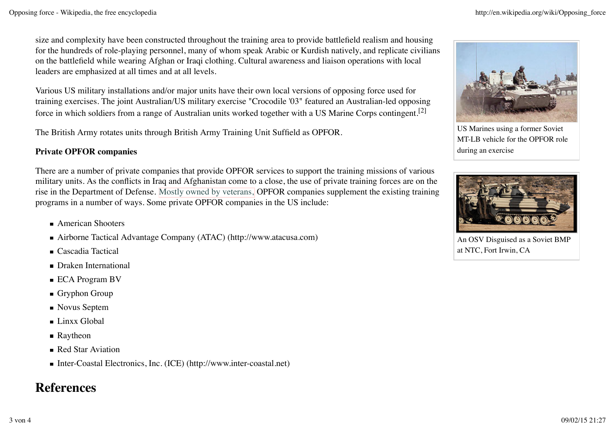size and complexity have been constructed throughout the training area to provide battlefield realism and housing for the hundreds of role-playing personnel, many of whom speak Arabic or Kurdish natively, and replicate civilians on the battlefield while wearing Afghan or Iraqi clothing. Cultural awareness and liaison operations with local leaders are emphasized at all times and at all levels.

Various US military installations and/or major units have their own local versions of opposing force used for training exercises. The joint Australian/US military exercise "Crocodile '03" featured an Australian-led opposing force in which soldiers from a range of Australian units worked together with a US Marine Corps contingent.[2]

The British Army rotates units through British Army Training Unit Suffield as OPFOR.

#### **Private OPFOR companies**

There are a number of private companies that provide OPFOR services to support the training missions of various military units. As the conflicts in Iraq and Afghanistan come to a close, the use of private training forces are on the rise in the Department of Defense. Mostly owned by veterans, OPFOR companies supplement the existing training programs in a number of ways. Some private OPFOR companies in the US include:

- American Shooters
- Airborne Tactical Advantage Company (ATAC) (http://www.atacusa.com)
- Cascadia Tactical
- Draken International
- ECA Program BV
- Gryphon Group
- Novus Septem
- Linxx Global
- Raytheon
- Red Star Aviation
- Inter-Coastal Electronics, Inc. (ICE) (http://www.inter-coastal.net)

### **References**



US Marines using a former Soviet MT-LB vehicle for the OPFOR role during an exercise



An OSV Disguised as a Soviet BMP at NTC, Fort Irwin, CA